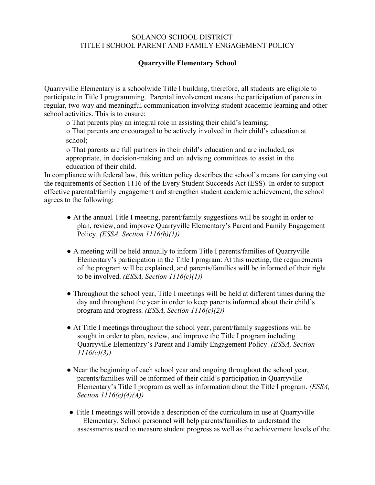## SOLANCO SCHOOL DISTRICT TITLE I SCHOOL PARENT AND FAMILY ENGAGEMENT POLICY

## **Quarryville Elementary School \_\_\_\_\_\_\_\_\_\_\_\_\_**

Quarryville Elementary is a schoolwide Title I building, therefore, all students are eligible to participate in Title I programming. Parental involvement means the participation of parents in regular, two-way and meaningful communication involving student academic learning and other school activities. This is to ensure:

o That parents play an integral role in assisting their child's learning;

o That parents are encouraged to be actively involved in their child's education at school;

o That parents are full partners in their child's education and are included, as appropriate, in decision-making and on advising committees to assist in the education of their child.

In compliance with federal law, this written policy describes the school's means for carrying out the requirements of Section 1116 of the Every Student Succeeds Act (ESS). In order to support effective parental/family engagement and strengthen student academic achievement, the school agrees to the following:

- At the annual Title I meeting, parent/family suggestions will be sought in order to plan, review, and improve Quarryville Elementary's Parent and Family Engagement Policy. *(ESSA, Section 1116(b)(1))*
- A meeting will be held annually to inform Title I parents/families of Quarryville Elementary's participation in the Title I program. At this meeting, the requirements of the program will be explained, and parents/families will be informed of their right to be involved. *(ESSA, Section 1116(c)(1))*
- Throughout the school year, Title I meetings will be held at different times during the day and throughout the year in order to keep parents informed about their child's program and progress. *(ESSA, Section 1116(c)(2))*
- At Title I meetings throughout the school year, parent/family suggestions will be sought in order to plan, review, and improve the Title I program including Quarryville Elementary's Parent and Family Engagement Policy. *(ESSA, Section 1116(c)(3))*
- Near the beginning of each school year and ongoing throughout the school year, parents/families will be informed of their child's participation in Quarryville Elementary's Title I program as well as information about the Title I program. *(ESSA, Section 1116(c)(4)(A))*
- Title I meetings will provide a description of the curriculum in use at Quarryville Elementary. School personnel will help parents/families to understand the assessments used to measure student progress as well as the achievement levels of the